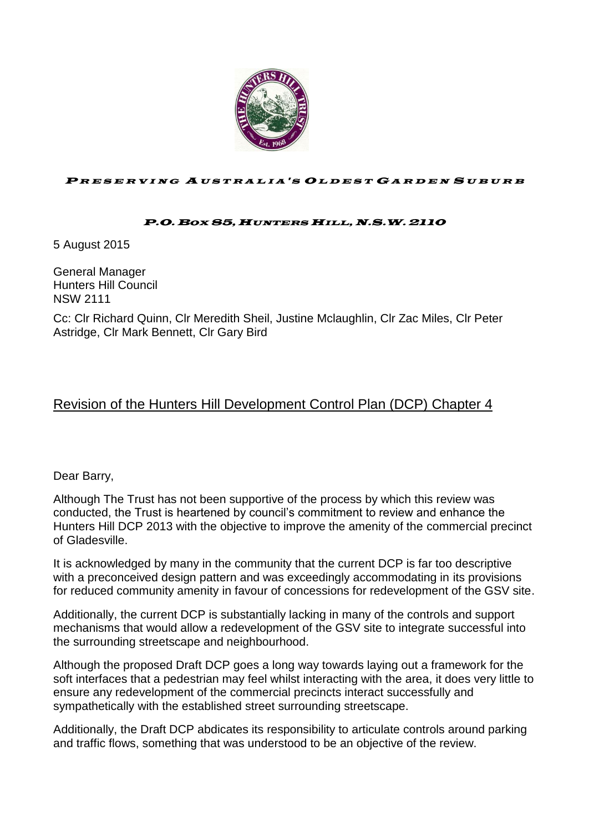

#### PRESERVING AUSTRALIA'S OLDEST GARDEN SUBURB

#### P.O.BOX 85,HUNTERS HILL,N.S.W. 2110

5 August 2015

General Manager Hunters Hill Council NSW 2111

Cc: Clr Richard Quinn, Clr Meredith Sheil, Justine Mclaughlin, Clr Zac Miles, Clr Peter Astridge, Clr Mark Bennett, Clr Gary Bird

#### Revision of the Hunters Hill Development Control Plan (DCP) Chapter 4

Dear Barry,

Although The Trust has not been supportive of the process by which this review was conducted, the Trust is heartened by council's commitment to review and enhance the Hunters Hill DCP 2013 with the objective to improve the amenity of the commercial precinct of Gladesville.

It is acknowledged by many in the community that the current DCP is far too descriptive with a preconceived design pattern and was exceedingly accommodating in its provisions for reduced community amenity in favour of concessions for redevelopment of the GSV site.

Additionally, the current DCP is substantially lacking in many of the controls and support mechanisms that would allow a redevelopment of the GSV site to integrate successful into the surrounding streetscape and neighbourhood.

Although the proposed Draft DCP goes a long way towards laying out a framework for the soft interfaces that a pedestrian may feel whilst interacting with the area, it does very little to ensure any redevelopment of the commercial precincts interact successfully and sympathetically with the established street surrounding streetscape.

Additionally, the Draft DCP abdicates its responsibility to articulate controls around parking and traffic flows, something that was understood to be an objective of the review.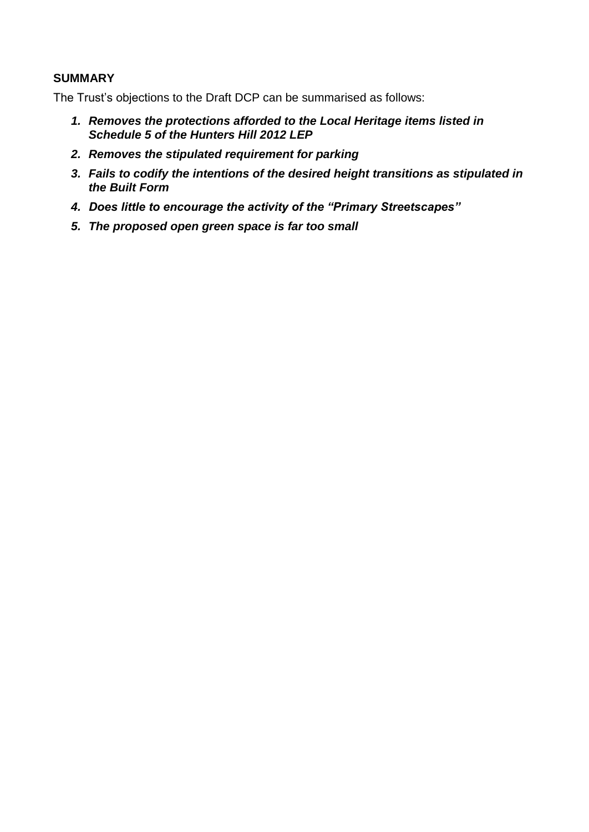#### **SUMMARY**

The Trust's objections to the Draft DCP can be summarised as follows:

- *1. Removes the protections afforded to the Local Heritage items listed in Schedule 5 of the Hunters Hill 2012 LEP*
- *2. Removes the stipulated requirement for parking*
- *3. Fails to codify the intentions of the desired height transitions as stipulated in the Built Form*
- *4. Does little to encourage the activity of the "Primary Streetscapes"*
- *5. The proposed open green space is far too small*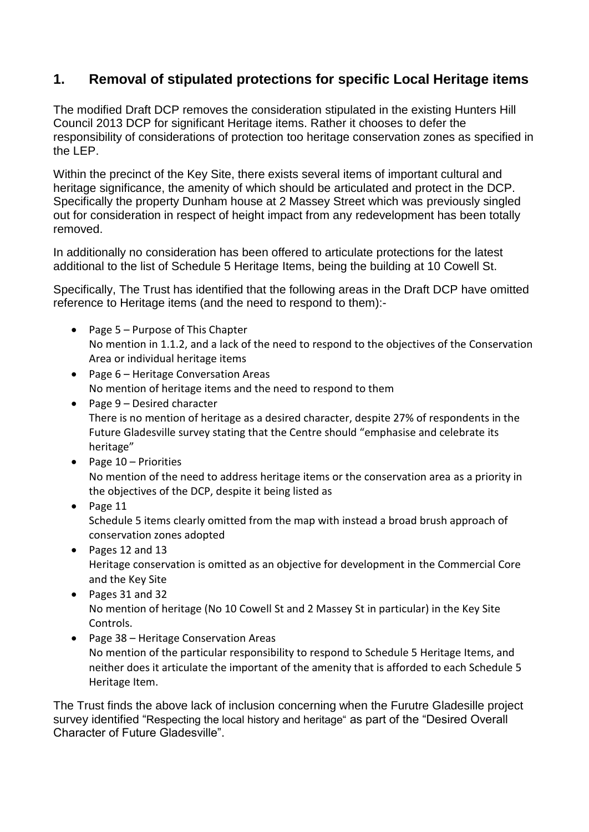# **1. Removal of stipulated protections for specific Local Heritage items**

The modified Draft DCP removes the consideration stipulated in the existing Hunters Hill Council 2013 DCP for significant Heritage items. Rather it chooses to defer the responsibility of considerations of protection too heritage conservation zones as specified in the LEP.

Within the precinct of the Key Site, there exists several items of important cultural and heritage significance, the amenity of which should be articulated and protect in the DCP. Specifically the property Dunham house at 2 Massey Street which was previously singled out for consideration in respect of height impact from any redevelopment has been totally removed.

In additionally no consideration has been offered to articulate protections for the latest additional to the list of Schedule 5 Heritage Items, being the building at 10 Cowell St.

Specifically, The Trust has identified that the following areas in the Draft DCP have omitted reference to Heritage items (and the need to respond to them):-

- Page 5 Purpose of This Chapter No mention in 1.1.2, and a lack of the need to respond to the objectives of the Conservation Area or individual heritage items
- Page 6 Heritage Conversation Areas No mention of heritage items and the need to respond to them
- Page 9 Desired character There is no mention of heritage as a desired character, despite 27% of respondents in the Future Gladesville survey stating that the Centre should "emphasise and celebrate its heritage"
- $\bullet$  Page 10 Priorities No mention of the need to address heritage items or the conservation area as a priority in the objectives of the DCP, despite it being listed as
- $\bullet$  Page 11 Schedule 5 items clearly omitted from the map with instead a broad brush approach of conservation zones adopted
- Pages 12 and 13 Heritage conservation is omitted as an objective for development in the Commercial Core and the Key Site
- Pages 31 and 32 No mention of heritage (No 10 Cowell St and 2 Massey St in particular) in the Key Site Controls.
- Page 38 Heritage Conservation Areas No mention of the particular responsibility to respond to Schedule 5 Heritage Items, and neither does it articulate the important of the amenity that is afforded to each Schedule 5 Heritage Item.

The Trust finds the above lack of inclusion concerning when the Furutre Gladesille project survey identified "Respecting the local history and heritage" as part of the "Desired Overall Character of Future Gladesville".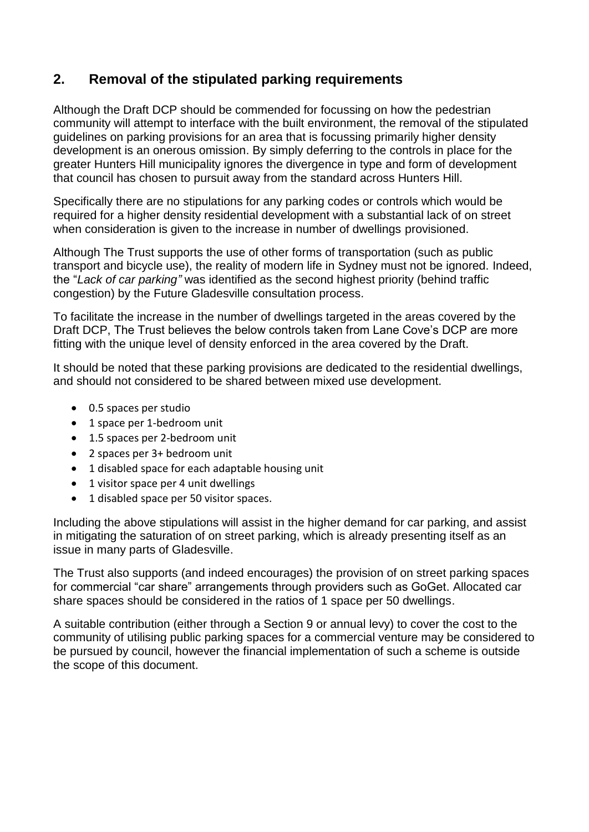# **2. Removal of the stipulated parking requirements**

Although the Draft DCP should be commended for focussing on how the pedestrian community will attempt to interface with the built environment, the removal of the stipulated guidelines on parking provisions for an area that is focussing primarily higher density development is an onerous omission. By simply deferring to the controls in place for the greater Hunters Hill municipality ignores the divergence in type and form of development that council has chosen to pursuit away from the standard across Hunters Hill.

Specifically there are no stipulations for any parking codes or controls which would be required for a higher density residential development with a substantial lack of on street when consideration is given to the increase in number of dwellings provisioned.

Although The Trust supports the use of other forms of transportation (such as public transport and bicycle use), the reality of modern life in Sydney must not be ignored. Indeed, the "*Lack of car parking"* was identified as the second highest priority (behind traffic congestion) by the Future Gladesville consultation process.

To facilitate the increase in the number of dwellings targeted in the areas covered by the Draft DCP, The Trust believes the below controls taken from Lane Cove's DCP are more fitting with the unique level of density enforced in the area covered by the Draft.

It should be noted that these parking provisions are dedicated to the residential dwellings, and should not considered to be shared between mixed use development.

- 0.5 spaces per studio
- 1 space per 1-bedroom unit
- 1.5 spaces per 2-bedroom unit
- 2 spaces per 3+ bedroom unit
- 1 disabled space for each adaptable housing unit
- 1 visitor space per 4 unit dwellings
- 1 disabled space per 50 visitor spaces.

Including the above stipulations will assist in the higher demand for car parking, and assist in mitigating the saturation of on street parking, which is already presenting itself as an issue in many parts of Gladesville.

The Trust also supports (and indeed encourages) the provision of on street parking spaces for commercial "car share" arrangements through providers such as GoGet. Allocated car share spaces should be considered in the ratios of 1 space per 50 dwellings.

A suitable contribution (either through a Section 9 or annual levy) to cover the cost to the community of utilising public parking spaces for a commercial venture may be considered to be pursued by council, however the financial implementation of such a scheme is outside the scope of this document.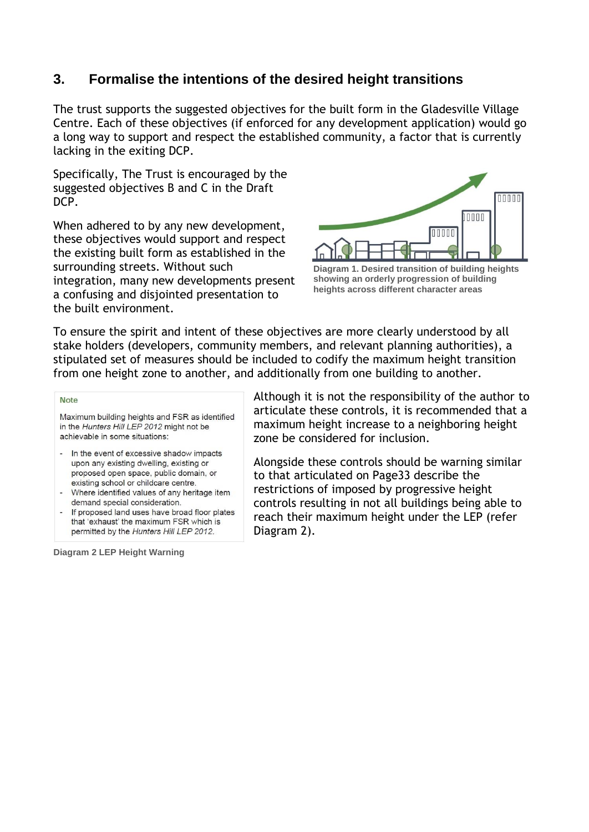## **3. Formalise the intentions of the desired height transitions**

The trust supports the suggested objectives for the built form in the Gladesville Village Centre. Each of these objectives (if enforced for any development application) would go a long way to support and respect the established community, a factor that is currently lacking in the exiting DCP.

Specifically, The Trust is encouraged by the suggested objectives B and C in the Draft DCP.

When adhered to by any new development, these objectives would support and respect the existing built form as established in the surrounding streets. Without such integration, many new developments present a confusing and disjointed presentation to the built environment.



**Diagram 1. Desired transition of building heights showing an orderly progression of building heights across different character areas**

To ensure the spirit and intent of these objectives are more clearly understood by all stake holders (developers, community members, and relevant planning authorities), a stipulated set of measures should be included to codify the maximum height transition from one height zone to another, and additionally from one building to another.

#### **Note**

Maximum building heights and FSR as identified in the Hunters Hill LEP 2012 might not be achievable in some situations:

- In the event of excessive shadow impacts upon any existing dwelling, existing or proposed open space, public domain, or existing school or childcare centre.
- Where identified values of any heritage item demand special consideration.
- If proposed land uses have broad floor plates that 'exhaust' the maximum FSR which is permitted by the Hunters Hill LEP 2012.

**Diagram 2 LEP Height Warning**

Although it is not the responsibility of the author to articulate these controls, it is recommended that a maximum height increase to a neighboring height zone be considered for inclusion.

Alongside these controls should be warning similar to that articulated on Page33 describe the restrictions of imposed by progressive height controls resulting in not all buildings being able to reach their maximum height under the LEP (refer Diagram 2).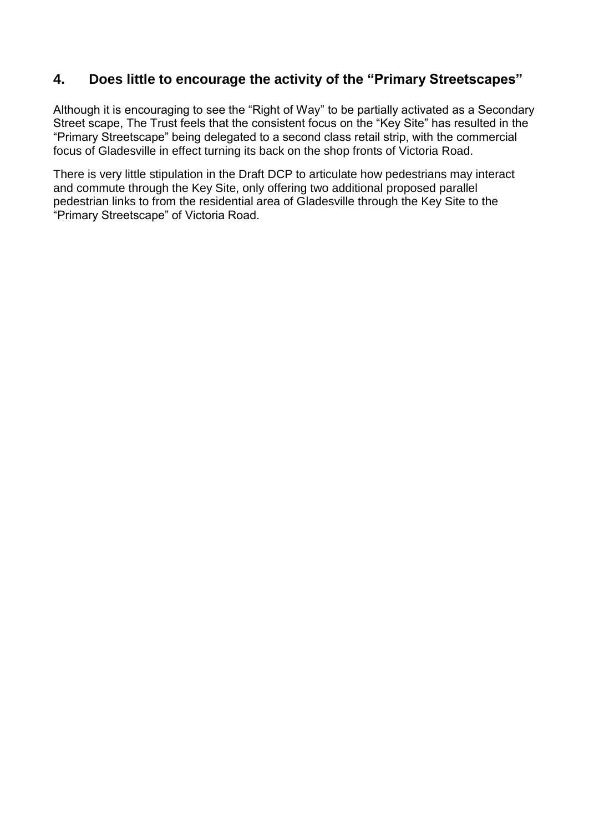### **4. Does little to encourage the activity of the "Primary Streetscapes"**

Although it is encouraging to see the "Right of Way" to be partially activated as a Secondary Street scape, The Trust feels that the consistent focus on the "Key Site" has resulted in the "Primary Streetscape" being delegated to a second class retail strip, with the commercial focus of Gladesville in effect turning its back on the shop fronts of Victoria Road.

There is very little stipulation in the Draft DCP to articulate how pedestrians may interact and commute through the Key Site, only offering two additional proposed parallel pedestrian links to from the residential area of Gladesville through the Key Site to the "Primary Streetscape" of Victoria Road.